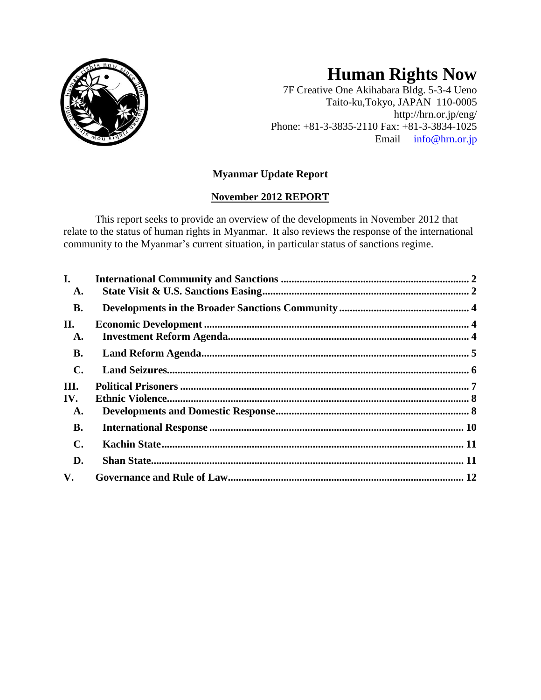

# **Human Rights Now**

7F Creative One Akihabara Bldg. 5-3-4 Ueno Taito-ku,Tokyo, JAPAN 110-0005 http://hrn.or.jp/eng/ Phone: +81-3-3835-2110 Fax: +81-3-3834-1025 Email [info@hrn.or.jp](mailto:info@hrn.or.jp)

# **Myanmar Update Report**

# **November 2012 REPORT**

This report seeks to provide an overview of the developments in November 2012 that relate to the status of human rights in Myanmar. It also reviews the response of the international community to the Myanmar's current situation, in particular status of sanctions regime.

| $\mathbf{I}$ . |  |
|----------------|--|
| A.             |  |
| <b>B.</b>      |  |
| П.             |  |
| A.             |  |
| <b>B.</b>      |  |
| $\mathbf{C}$ . |  |
| III.           |  |
| IV.            |  |
| A.             |  |
| <b>B.</b>      |  |
| $\mathbf{C}$ . |  |
| D.             |  |
| V.             |  |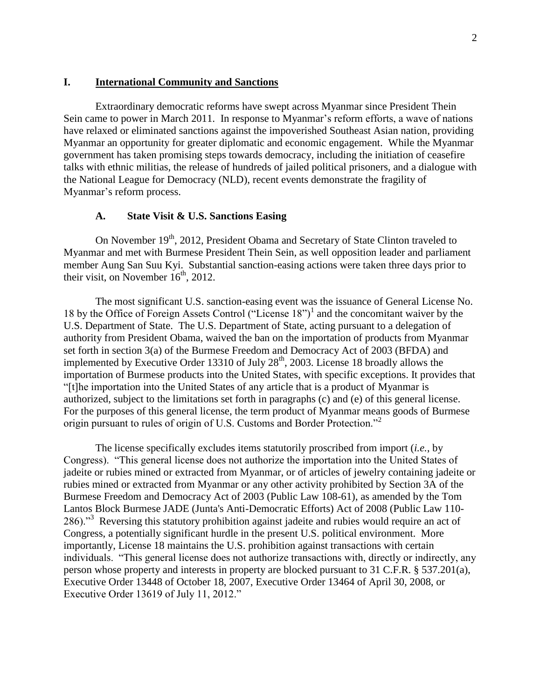## <span id="page-1-0"></span>**I. International Community and Sanctions**

Extraordinary democratic reforms have swept across Myanmar since President Thein Sein came to power in March 2011. In response to Myanmar's reform efforts, a wave of nations have relaxed or eliminated sanctions against the impoverished Southeast Asian nation, providing Myanmar an opportunity for greater diplomatic and economic engagement. While the Myanmar government has taken promising steps towards democracy, including the initiation of ceasefire talks with ethnic militias, the release of hundreds of jailed political prisoners, and a dialogue with the National League for Democracy (NLD), recent events demonstrate the fragility of Myanmar's reform process.

#### **A. State Visit & U.S. Sanctions Easing**

<span id="page-1-1"></span>On November 19<sup>th</sup>, 2012, President Obama and Secretary of State Clinton traveled to Myanmar and met with Burmese President Thein Sein, as well opposition leader and parliament member Aung San Suu Kyi. Substantial sanction-easing actions were taken three days prior to their visit, on November  $16<sup>th</sup>$ , 2012.

The most significant U.S. sanction-easing event was the issuance of General License No. 18 by the Office of Foreign Assets Control ("License 18")<sup>1</sup> and the concomitant waiver by the U.S. Department of State. The U.S. Department of State, acting pursuant to a delegation of authority from President Obama, waived the ban on the importation of products from Myanmar set forth in section 3(a) of the Burmese Freedom and Democracy Act of 2003 (BFDA) and implemented by Executive Order 13310 of July  $28<sup>th</sup>$ , 2003. License 18 broadly allows the importation of Burmese products into the United States, with specific exceptions. It provides that "[t]he importation into the United States of any article that is a product of Myanmar is authorized, subject to the limitations set forth in paragraphs (c) and (e) of this general license. For the purposes of this general license, the term product of Myanmar means goods of Burmese origin pursuant to rules of origin of U.S. Customs and Border Protection."<sup>2</sup>

The license specifically excludes items statutorily proscribed from import (*i.e.*, by Congress). "This general license does not authorize the importation into the United States of jadeite or rubies mined or extracted from Myanmar, or of articles of jewelry containing jadeite or rubies mined or extracted from Myanmar or any other activity prohibited by Section 3A of the Burmese Freedom and Democracy Act of 2003 (Public Law 108-61), as amended by the Tom Lantos Block Burmese JADE (Junta's Anti-Democratic Efforts) Act of 2008 (Public Law 110- 286)."<sup>3</sup> Reversing this statutory prohibition against jadeite and rubies would require an act of Congress, a potentially significant hurdle in the present U.S. political environment. More importantly, License 18 maintains the U.S. prohibition against transactions with certain individuals. "This general license does not authorize transactions with, directly or indirectly, any person whose property and interests in property are blocked pursuant to 31 C.F.R. § 537.201(a), Executive Order 13448 of October 18, 2007, Executive Order 13464 of April 30, 2008, or Executive Order 13619 of July 11, 2012."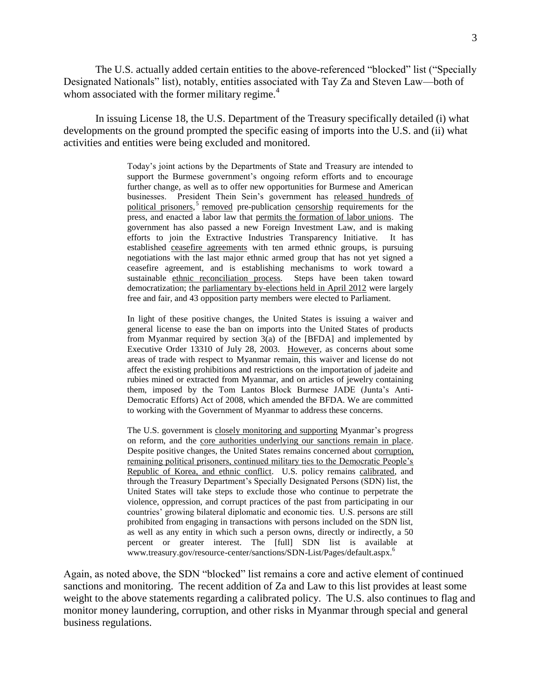The U.S. actually added certain entities to the above-referenced "blocked" list ("Specially Designated Nationals" list), notably, entities associated with Tay Za and Steven Law—both of whom associated with the former military regime. $4$ 

In issuing License 18, the U.S. Department of the Treasury specifically detailed (i) what developments on the ground prompted the specific easing of imports into the U.S. and (ii) what activities and entities were being excluded and monitored.

> Today's joint actions by the Departments of State and Treasury are intended to support the Burmese government's ongoing reform efforts and to encourage further change, as well as to offer new opportunities for Burmese and American businesses. President Thein Sein's government has released hundreds of political prisoners,<sup>5</sup> removed pre-publication censorship requirements for the press, and enacted a labor law that permits the formation of labor unions. The government has also passed a new Foreign Investment Law, and is making efforts to join the Extractive Industries Transparency Initiative. It has established ceasefire agreements with ten armed ethnic groups, is pursuing negotiations with the last major ethnic armed group that has not yet signed a ceasefire agreement, and is establishing mechanisms to work toward a sustainable ethnic reconciliation process. Steps have been taken toward democratization; the parliamentary by-elections held in April 2012 were largely free and fair, and 43 opposition party members were elected to Parliament.

> In light of these positive changes, the United States is issuing a waiver and general license to ease the ban on imports into the United States of products from Myanmar required by section 3(a) of the [BFDA] and implemented by Executive Order 13310 of July 28, 2003. However, as concerns about some areas of trade with respect to Myanmar remain, this waiver and license do not affect the existing prohibitions and restrictions on the importation of jadeite and rubies mined or extracted from Myanmar, and on articles of jewelry containing them, imposed by the Tom Lantos Block Burmese JADE (Junta's Anti-Democratic Efforts) Act of 2008, which amended the BFDA. We are committed to working with the Government of Myanmar to address these concerns.

> The U.S. government is closely monitoring and supporting Myanmar's progress on reform, and the core authorities underlying our sanctions remain in place. Despite positive changes, the United States remains concerned about corruption, remaining political prisoners, continued military ties to the Democratic People's Republic of Korea, and ethnic conflict. U.S. policy remains calibrated, and through the Treasury Department's Specially Designated Persons (SDN) list, the United States will take steps to exclude those who continue to perpetrate the violence, oppression, and corrupt practices of the past from participating in our countries' growing bilateral diplomatic and economic ties. U.S. persons are still prohibited from engaging in transactions with persons included on the SDN list, as well as any entity in which such a person owns, directly or indirectly, a 50 percent or greater interest. The [full] SDN list is available at [www.treasury.gov/resource-center/sanctions/SDN-List/Pages/default.aspx.](http://www.treasury.gov/resource-center/sanctions/SDN-List/Pages/default.aspx)<sup>6</sup>

Again, as noted above, the SDN "blocked" list remains a core and active element of continued sanctions and monitoring. The recent addition of Za and Law to this list provides at least some weight to the above statements regarding a calibrated policy. The U.S. also continues to flag and monitor money laundering, corruption, and other risks in Myanmar through special and general business regulations.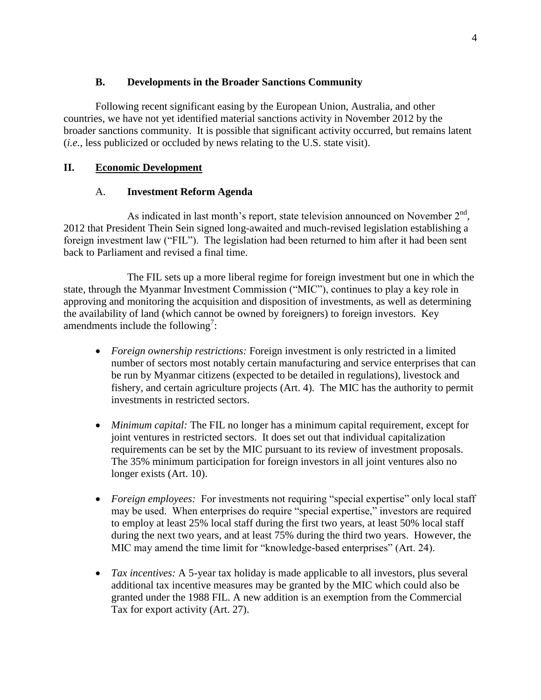## **B. Developments in the Broader Sanctions Community**

<span id="page-3-0"></span>Following recent significant easing by the European Union, Australia, and other countries, we have not yet identified material sanctions activity in November 2012 by the broader sanctions community. It is possible that significant activity occurred, but remains latent (*i.e.*, less publicized or occluded by news relating to the U.S. state visit).

## <span id="page-3-2"></span><span id="page-3-1"></span>**II. Economic Development**

## A. **Investment Reform Agenda**

As indicated in last month's report, state television announced on November  $2<sup>nd</sup>$ , 2012 that President Thein Sein signed long-awaited and much-revised legislation establishing a foreign investment law ("FIL"). The legislation had been returned to him after it had been sent back to Parliament and revised a final time.

The FIL sets up a more liberal regime for foreign investment but one in which the state, through the Myanmar Investment Commission ("MIC"), continues to play a key role in approving and monitoring the acquisition and disposition of investments, as well as determining the availability of land (which cannot be owned by foreigners) to foreign investors. Key amendments include the following<sup>7</sup>:

- *Foreign ownership restrictions:* Foreign investment is only restricted in a limited number of sectors most notably certain manufacturing and service enterprises that can be run by Myanmar citizens (expected to be detailed in regulations), livestock and fishery, and certain agriculture projects (Art. 4). The MIC has the authority to permit investments in restricted sectors.
- *Minimum capital:* The FIL no longer has a minimum capital requirement, except for joint ventures in restricted sectors. It does set out that individual capitalization requirements can be set by the MIC pursuant to its review of investment proposals. The 35% minimum participation for foreign investors in all joint ventures also no longer exists (Art. 10).
- *Foreign employees:* For investments not requiring "special expertise" only local staff may be used. When enterprises do require "special expertise," investors are required to employ at least 25% local staff during the first two years, at least 50% local staff during the next two years, and at least 75% during the third two years. However, the MIC may amend the time limit for "knowledge-based enterprises" (Art. 24).
- *Tax incentives:* A 5-year tax holiday is made applicable to all investors, plus several additional tax incentive measures may be granted by the MIC which could also be granted under the 1988 FIL. A new addition is an exemption from the Commercial Tax for export activity (Art. 27).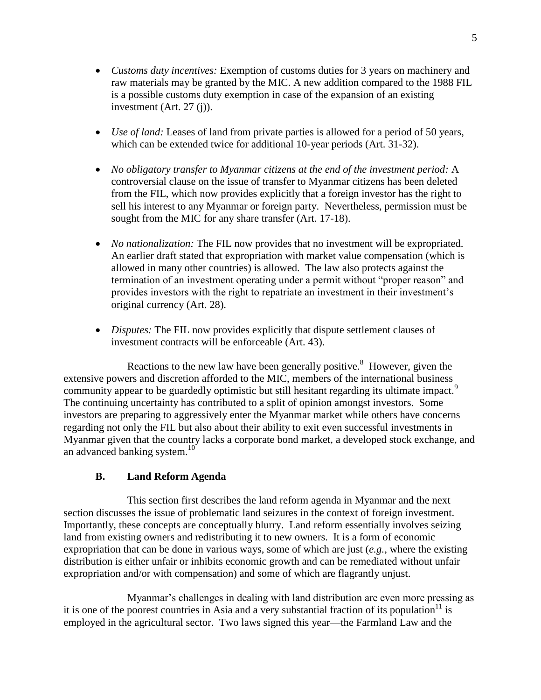- *Customs duty incentives:* Exemption of customs duties for 3 years on machinery and raw materials may be granted by the MIC. A new addition compared to the 1988 FIL is a possible customs duty exemption in case of the expansion of an existing investment (Art. 27 (j)).
- *Use of land:* Leases of land from private parties is allowed for a period of 50 years, which can be extended twice for additional 10-year periods (Art. 31-32).
- *No obligatory transfer to Myanmar citizens at the end of the investment period:* A controversial clause on the issue of transfer to Myanmar citizens has been deleted from the FIL, which now provides explicitly that a foreign investor has the right to sell his interest to any Myanmar or foreign party. Nevertheless, permission must be sought from the MIC for any share transfer (Art. 17-18).
- *No nationalization:* The FIL now provides that no investment will be expropriated. An earlier draft stated that expropriation with market value compensation (which is allowed in many other countries) is allowed. The law also protects against the termination of an investment operating under a permit without "proper reason" and provides investors with the right to repatriate an investment in their investment's original currency (Art. 28).
- *Disputes:* The FIL now provides explicitly that dispute settlement clauses of investment contracts will be enforceable (Art. 43).

Reactions to the new law have been generally positive.<sup>8</sup> However, given the extensive powers and discretion afforded to the MIC, members of the international business community appear to be guardedly optimistic but still hesitant regarding its ultimate impact.<sup>9</sup> The continuing uncertainty has contributed to a split of opinion amongst investors. Some investors are preparing to aggressively enter the Myanmar market while others have concerns regarding not only the FIL but also about their ability to exit even successful investments in Myanmar given that the country lacks a corporate bond market, a developed stock exchange, and an advanced banking system.<sup>10</sup>

## **B. Land Reform Agenda**

<span id="page-4-0"></span>This section first describes the land reform agenda in Myanmar and the next section discusses the issue of problematic land seizures in the context of foreign investment. Importantly, these concepts are conceptually blurry. Land reform essentially involves seizing land from existing owners and redistributing it to new owners. It is a form of economic expropriation that can be done in various ways, some of which are just (*e.g.*, where the existing distribution is either unfair or inhibits economic growth and can be remediated without unfair expropriation and/or with compensation) and some of which are flagrantly unjust.

Myanmar's challenges in dealing with land distribution are even more pressing as it is one of the poorest countries in Asia and a very substantial fraction of its population<sup>11</sup> is employed in the agricultural sector. Two laws signed this year—the Farmland Law and the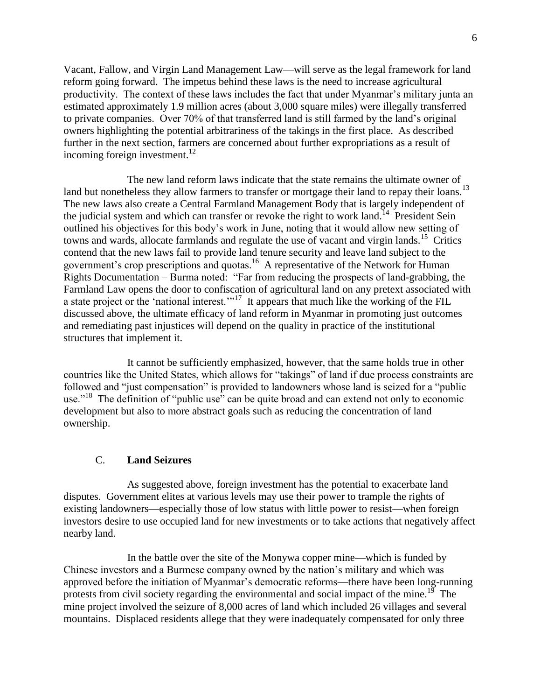Vacant, Fallow, and Virgin Land Management Law—will serve as the legal framework for land reform going forward. The impetus behind these laws is the need to increase agricultural productivity. The context of these laws includes the fact that under Myanmar's military junta an estimated approximately 1.9 million acres (about 3,000 square miles) were illegally transferred to private companies. Over 70% of that transferred land is still farmed by the land's original owners highlighting the potential arbitrariness of the takings in the first place. As described further in the next section, farmers are concerned about further expropriations as a result of incoming foreign investment.<sup>12</sup>

The new land reform laws indicate that the state remains the ultimate owner of land but nonetheless they allow farmers to transfer or mortgage their land to repay their loans.<sup>13</sup> The new laws also create a Central Farmland Management Body that is largely independent of the judicial system and which can transfer or revoke the right to work land.<sup>14</sup> President Sein outlined his objectives for this body's work in June, noting that it would allow new setting of towns and wards, allocate farmlands and regulate the use of vacant and virgin lands.<sup>15</sup> Critics contend that the new laws fail to provide land tenure security and leave land subject to the government's crop prescriptions and quotas.<sup>16</sup> A representative of the Network for Human Rights Documentation – Burma noted: "Far from reducing the prospects of land-grabbing, the Farmland Law opens the door to confiscation of agricultural land on any pretext associated with a state project or the 'national interest."<sup>17</sup> It appears that much like the working of the FIL discussed above, the ultimate efficacy of land reform in Myanmar in promoting just outcomes and remediating past injustices will depend on the quality in practice of the institutional structures that implement it.

It cannot be sufficiently emphasized, however, that the same holds true in other countries like the United States, which allows for "takings" of land if due process constraints are followed and "just compensation" is provided to landowners whose land is seized for a "public use."<sup>18</sup> The definition of "public use" can be quite broad and can extend not only to economic development but also to more abstract goals such as reducing the concentration of land ownership.

#### C. **Land Seizures**

<span id="page-5-0"></span>As suggested above, foreign investment has the potential to exacerbate land disputes. Government elites at various levels may use their power to trample the rights of existing landowners—especially those of low status with little power to resist—when foreign investors desire to use occupied land for new investments or to take actions that negatively affect nearby land.

In the battle over the site of the Monywa copper mine—which is funded by Chinese investors and a Burmese company owned by the nation's military and which was approved before the initiation of Myanmar's democratic reforms—there have been long-running protests from civil society regarding the environmental and social impact of the mine.<sup>19</sup> The mine project involved the seizure of 8,000 acres of land which included 26 villages and several mountains. Displaced residents allege that they were inadequately compensated for only three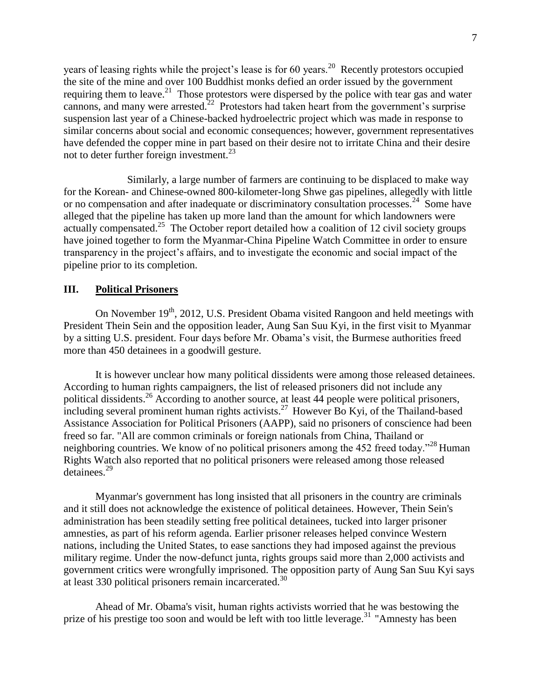years of leasing rights while the project's lease is for 60 years.<sup>20</sup> Recently protestors occupied the site of the mine and over 100 Buddhist monks defied an order issued by the government requiring them to leave.<sup>21</sup> Those protestors were dispersed by the police with tear gas and water cannons, and many were arrested.<sup>22</sup> Protestors had taken heart from the government's surprise suspension last year of a Chinese-backed hydroelectric project which was made in response to similar concerns about social and economic consequences; however, government representatives have defended the copper mine in part based on their desire not to irritate China and their desire not to deter further foreign investment.<sup>23</sup>

Similarly, a large number of farmers are continuing to be displaced to make way for the Korean- and Chinese-owned 800-kilometer-long Shwe gas pipelines, allegedly with little or no compensation and after inadequate or discriminatory consultation processes.<sup>24</sup> Some have alleged that the pipeline has taken up more land than the amount for which landowners were actually compensated.<sup>25</sup> The October report detailed how a coalition of 12 civil society groups have joined together to form the Myanmar-China Pipeline Watch Committee in order to ensure transparency in the project's affairs, and to investigate the economic and social impact of the pipeline prior to its completion.

## <span id="page-6-0"></span>**III. Political Prisoners**

On November 19<sup>th</sup>, 2012, U.S. President Obama visited Rangoon and held meetings with President Thein Sein and the opposition leader, Aung San Suu Kyi, in the first visit to Myanmar by a sitting U.S. president. Four days before Mr. Obama's visit, the Burmese authorities freed more than 450 detainees in a goodwill gesture.

It is however unclear how many political dissidents were among those released detainees. According to [human rights](http://www.guardian.co.uk/law/human-rights) campaigners, the list of released prisoners did not include any political dissidents.<sup>26</sup> According to another source, at least 44 people were political prisoners, including several prominent human rights activists.<sup>27</sup> However Bo Kyi, of the Thailand-based [Assistance Association for Political Prisoners](http://www.aappb.org/) (AAPP), said no prisoners of conscience had been freed so far. "All are common criminals or foreign nationals from China, Thailand or neighboring countries. We know of no political prisoners among the 452 freed today."<sup>28</sup> Human Rights Watch also reported that no political prisoners were released among those released detainees.<sup>29</sup>

Myanmar's government has long insisted that all prisoners in the country are criminals and it still does not acknowledge the existence of political detainees. However, Thein Sein's administration has been steadily setting free political detainees, tucked into larger prisoner amnesties, as part of his reform agenda. Earlier prisoner releases helped convince Western nations, including the United States, to ease sanctions they had imposed against the previous military regime. Under the now-defunct junta, rights groups said more than 2,000 activists and government critics were wrongfully imprisoned. The opposition party of Aung San Suu Kyi says at least 330 political prisoners remain incarcerated.<sup>30</sup>

Ahead of Mr. Obama's visit, human rights activists worried that he was bestowing the prize of his prestige too soon and would be left with too little leverage.<sup>31</sup> "Amnesty has been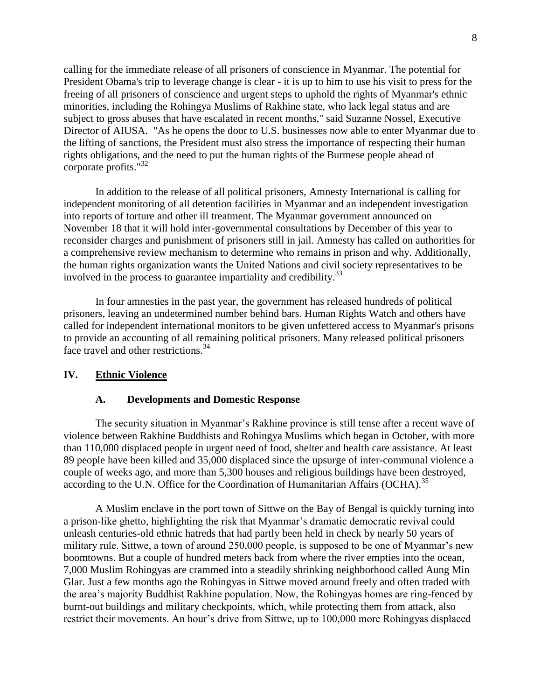calling for the immediate release of all prisoners of conscience in Myanmar. The potential for President Obama's trip to leverage change is clear - it is up to him to use his visit to press for the freeing of all prisoners of conscience and urgent steps to uphold the rights of Myanmar's ethnic minorities, including the Rohingya Muslims of Rakhine state, who lack legal status and are subject to gross abuses that have escalated in recent months," said Suzanne Nossel, Executive Director of AIUSA. "As he opens the door to U.S. businesses now able to enter Myanmar due to the lifting of sanctions, the President must also stress the importance of respecting their human rights obligations, and the need to put the human rights of the Burmese people ahead of corporate profits."<sup>32</sup>

In addition to the release of all political prisoners, Amnesty International is calling for independent monitoring of all detention facilities in Myanmar and an independent investigation into reports of torture and other ill treatment. The Myanmar government announced on November 18 that it will hold inter-governmental consultations by December of this year to reconsider charges and punishment of prisoners still in jail. Amnesty has called on authorities for a comprehensive review mechanism to determine who remains in prison and why. Additionally, the human rights organization wants the United Nations and civil society representatives to be involved in the process to guarantee impartiality and credibility.<sup>33</sup>

In four amnesties in the past year, the government has released hundreds of political prisoners, leaving an undetermined number behind bars. Human Rights Watch and others have called for independent international monitors to be given unfettered access to Myanmar's prisons to provide an accounting of all remaining political prisoners. Many released political prisoners face travel and other restrictions.<sup>34</sup>

#### <span id="page-7-1"></span><span id="page-7-0"></span>**IV. Ethnic Violence**

#### **A. Developments and Domestic Response**

The security situation in Myanmar's Rakhine province is still tense after a recent wave of violence between Rakhine Buddhists and Rohingya Muslims which began in October, with more than 110,000 displaced people in urgent need of food, shelter and health care assistance. At least 89 people have been killed and 35,000 displaced since the upsurge of inter-communal violence a couple of weeks ago, and more than 5,300 houses and religious buildings have been destroyed, according to the U.N. Office for the Coordination of Humanitarian Affairs (OCHA).<sup>35</sup>

A Muslim enclave in the port town of Sittwe on the Bay of Bengal is quickly turning into a prison-like ghetto, highlighting the risk that Myanmar's dramatic democratic revival could unleash centuries-old ethnic hatreds that had partly been held in check by nearly 50 years of military rule. Sittwe, a town of around 250,000 people, is supposed to be one of Myanmar's new boomtowns. But a couple of hundred meters back from where the river empties into the ocean, 7,000 Muslim Rohingyas are crammed into a steadily shrinking neighborhood called Aung Min Glar. Just a few months ago the Rohingyas in Sittwe moved around freely and often traded with the area's majority Buddhist Rakhine population. Now, the Rohingyas homes are ring-fenced by burnt-out buildings and military checkpoints, which, while protecting them from attack, also restrict their movements. An hour's drive from Sittwe, up to 100,000 more Rohingyas displaced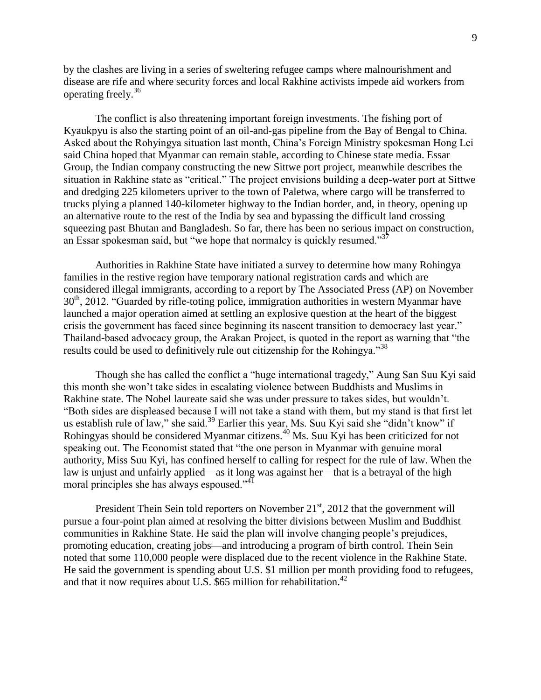by the clashes are living in a series of sweltering refugee camps where malnourishment and disease are rife and where security forces and local Rakhine activists impede aid workers from operating freely.<sup>36</sup>

The conflict is also threatening important foreign investments. The fishing port of Kyaukpyu is also the starting point of an oil-and-gas pipeline from the Bay of Bengal to China. Asked about the Rohyingya situation last month, China's Foreign Ministry spokesman Hong Lei said China hoped that Myanmar can remain stable, according to Chinese state media. Essar Group, the Indian company constructing the new Sittwe port project, meanwhile describes the situation in Rakhine state as "critical." The project envisions building a deep-water port at Sittwe and dredging 225 kilometers upriver to the town of Paletwa, where cargo will be transferred to trucks plying a planned 140-kilometer highway to the Indian border, and, in theory, opening up an alternative route to the rest of the India by sea and bypassing the difficult land crossing squeezing past Bhutan and Bangladesh. So far, there has been no serious impact on construction, an Essar spokesman said, but "we hope that normalcy is quickly resumed."<sup>37</sup>

Authorities in Rakhine State have initiated a survey to determine how many Rohingya families in the restive region have temporary national registration cards and which are considered illegal immigrants, according to a report by The Associated Press (AP) on November 30<sup>th</sup>, 2012. "Guarded by rifle-toting police, immigration authorities in western Myanmar have launched a major operation aimed at settling an explosive question at the heart of the biggest crisis the government has faced since beginning its nascent transition to democracy last year." Thailand-based advocacy group, the Arakan Project, is quoted in the report as warning that "the results could be used to definitively rule out citizenship for the Rohingya."<sup>38</sup>

Though she has called the conflict a "huge international tragedy," Aung San Suu Kyi said this month she won't take sides in escalating violence between Buddhists and Muslims in Rakhine state. The Nobel laureate said she was under pressure to takes sides, but wouldn't. "Both sides are displeased because I will not take a stand with them, but my stand is that first let us establish rule of law," she said.<sup>39</sup> Earlier this year, Ms. Suu Kyi said she "didn't know" if Rohingyas should be considered Myanmar citizens.<sup>40</sup> Ms. Suu Kyi has been criticized for not speaking out. The Economist stated that "the one person in Myanmar with genuine moral authority, Miss Suu Kyi, has confined herself to calling for respect for the rule of law. When the law is unjust and unfairly applied—as it long was against her—that is a betrayal of the high moral principles she has always espoused."<sup>41</sup>

President Thein Sein told reporters on November  $21<sup>st</sup>$ , 2012 that the government will pursue a four-point plan aimed at resolving the bitter divisions between Muslim and Buddhist communities in Rakhine State. He said the plan will involve changing people's prejudices, promoting education, creating jobs—and introducing a program of birth control. Thein Sein noted that some 110,000 people were displaced due to the recent violence in the Rakhine State. He said the government is spending about U.S. \$1 million per month providing food to refugees, and that it now requires about U.S.  $$65$  million for rehabilitation.<sup>42</sup>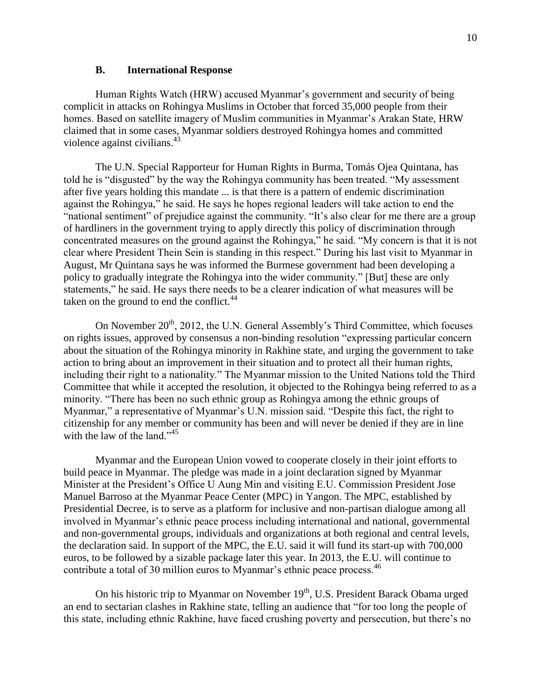#### **B. International Response**

<span id="page-9-0"></span>Human Rights Watch (HRW) accused Myanmar's government and security of being complicit in attacks on Rohingya Muslims in October that forced 35,000 people from their homes. Based on satellite imagery of Muslim communities in Myanmar's Arakan State, HRW claimed that in some cases, Myanmar soldiers destroyed Rohingya homes and committed violence against civilians. $43$ 

The U.N. Special Rapporteur for Human Rights in Burma, Tomás Ojea Quintana, has told he is "disgusted" by the way the Rohingya community has been treated. "My assessment after five years holding this mandate ... is that there is a pattern of endemic discrimination against the Rohingya," he said. He says he hopes regional leaders will take action to end the "national sentiment" of prejudice against the community. "It's also clear for me there are a group of hardliners in the government trying to apply directly this policy of discrimination through concentrated measures on the ground against the Rohingya," he said. "My concern is that it is not clear where President Thein Sein is standing in this respect." During his last visit to Myanmar in August, Mr Quintana says he was informed the Burmese government had been developing a policy to gradually integrate the Rohingya into the wider community." [But] these are only statements," he said. He says there needs to be a clearer indication of what measures will be taken on the ground to end the conflict. $44$ 

On November  $20<sup>th</sup>$ , 2012, the U.N. General Assembly's Third Committee, which focuses on rights issues, approved by consensus a non-binding resolution "expressing particular concern about the situation of the Rohingya minority in Rakhine state, and urging the government to take action to bring about an improvement in their situation and to protect all their human rights, including their right to a nationality." The Myanmar mission to the United Nations told the Third Committee that while it accepted the resolution, it objected to the Rohingya being referred to as a minority. "There has been no such ethnic group as Rohingya among the ethnic groups of Myanmar," a representative of Myanmar's U.N. mission said. "Despite this fact, the right to citizenship for any member or community has been and will never be denied if they are in line with the law of the land."<sup>45</sup>

Myanmar and the European Union vowed to cooperate closely in their joint efforts to build peace in Myanmar. The pledge was made in a joint declaration signed by Myanmar Minister at the President's Office U Aung Min and visiting E.U. Commission President Jose Manuel Barroso at the Myanmar Peace Center (MPC) in Yangon. The MPC, established by Presidential Decree, is to serve as a platform for inclusive and non-partisan dialogue among all involved in Myanmar's ethnic peace process including international and national, governmental and non-governmental groups, individuals and organizations at both regional and central levels, the declaration said. In support of the MPC, the E.U. said it will fund its start-up with 700,000 euros, to be followed by a sizable package later this year. In 2013, the E.U. will continue to contribute a total of 30 million euros to Myanmar's ethnic peace process.<sup>46</sup>

On his historic trip to Myanmar on November 19<sup>th</sup>, U.S. President Barack Obama urged an end to sectarian clashes in Rakhine state, telling an audience that "for too long the people of this state, including ethnic Rakhine, have faced crushing poverty and persecution, but there's no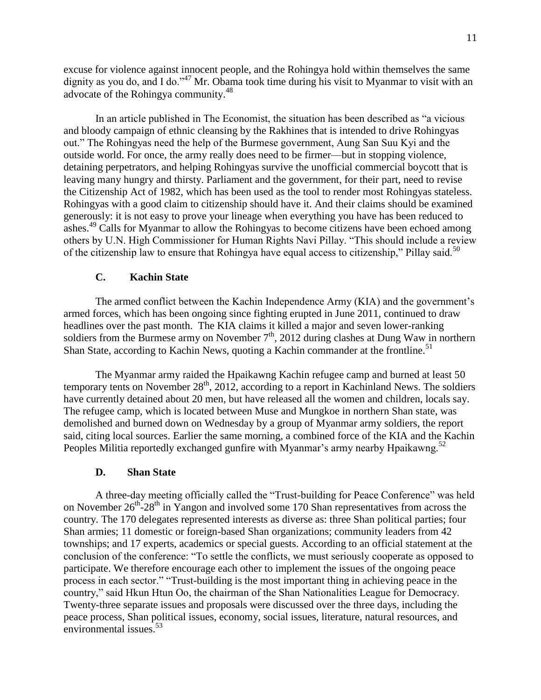excuse for violence against innocent people, and the Rohingya hold within themselves the same dignity as you do, and I do."<sup>47</sup> Mr. Obama took time during his visit to Myanmar to visit with an advocate of the Rohingya community.<sup>48</sup>

In an article published in The Economist, the situation has been described as "a vicious and bloody campaign of ethnic cleansing by the Rakhines that is intended to drive Rohingyas out." The Rohingyas need the help of the Burmese government, Aung San Suu Kyi and the outside world. For once, the army really does need to be firmer—but in stopping violence, detaining perpetrators, and helping Rohingyas survive the unofficial commercial boycott that is leaving many hungry and thirsty. Parliament and the government, for their part, need to revise the Citizenship Act of 1982, which has been used as the tool to render most Rohingyas stateless. Rohingyas with a good claim to citizenship should have it. And their claims should be examined generously: it is not easy to prove your lineage when everything you have has been reduced to ashes.<sup>49</sup> Calls for Myanmar to allow the Rohingyas to become citizens have been echoed among others by U.N. High Commissioner for Human Rights Navi Pillay. "This should include a review of the citizenship law to ensure that Rohingya have equal access to citizenship," Pillay said.<sup>50</sup>

## <span id="page-10-0"></span>**C. Kachin State**

The armed conflict between the Kachin Independence Army (KIA) and the government's armed forces, which has been ongoing since fighting erupted in June 2011, continued to draw headlines over the past month. The KIA claims it killed a major and seven lower-ranking soldiers from the Burmese army on November  $7<sup>th</sup>$ , 2012 during clashes at Dung Waw in northern Shan State, according to Kachin News, quoting a Kachin commander at the frontline.<sup>51</sup>

The Myanmar army raided the Hpaikawng Kachin refugee camp and burned at least 50 temporary tents on November 28<sup>th</sup>, 2012, according to a report in Kachinland News. The soldiers have currently detained about 20 men, but have released all the women and children, locals say. The refugee camp, which is located between Muse and Mungkoe in northern Shan state, was demolished and burned down on Wednesday by a group of Myanmar army soldiers, the report said, citing local sources. Earlier the same morning, a combined force of the KIA and the Kachin Peoples Militia reportedly exchanged gunfire with Myanmar's army nearby Hpaikawng.<sup>52</sup>

#### **D. Shan State**

<span id="page-10-1"></span>A three-day meeting officially called the "Trust-building for Peace Conference" was held on November  $26^{th}$ - $28^{th}$  in Yangon and involved some 170 Shan representatives from across the country. The 170 delegates represented interests as diverse as: three Shan political parties; four Shan armies; 11 domestic or foreign-based Shan organizations; community leaders from 42 townships; and 17 experts, academics or special guests. According to an official statement at the conclusion of the conference: "To settle the conflicts, we must seriously cooperate as opposed to participate. We therefore encourage each other to implement the issues of the ongoing peace process in each sector." "Trust-building is the most important thing in achieving peace in the country," said Hkun Htun Oo, the chairman of the Shan Nationalities League for Democracy. Twenty-three separate issues and proposals were discussed over the three days, including the peace process, Shan political issues, economy, social issues, literature, natural resources, and environmental issues.<sup>53</sup>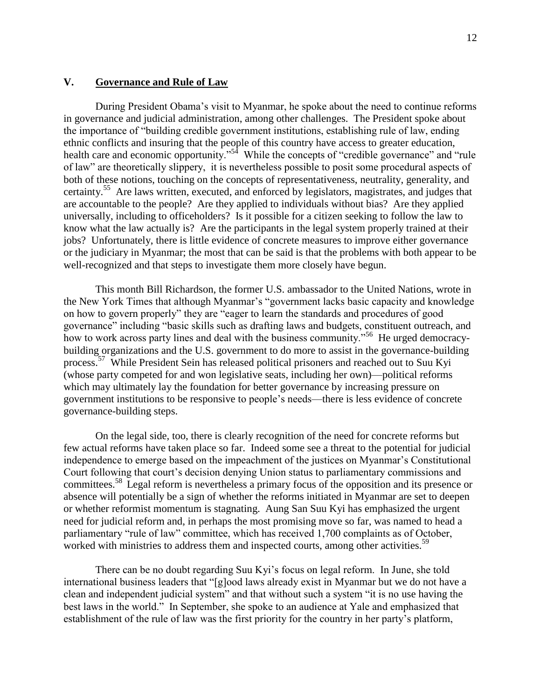#### <span id="page-11-0"></span>**V. Governance and Rule of Law**

During President Obama's visit to Myanmar, he spoke about the need to continue reforms in governance and judicial administration, among other challenges. The President spoke about the importance of "building credible government institutions, establishing rule of law, ending ethnic conflicts and insuring that the people of this country have access to greater education, health care and economic opportunity."<sup>54</sup> While the concepts of "credible governance" and "rule of law" are theoretically slippery, it is nevertheless possible to posit some procedural aspects of both of these notions, touching on the concepts of representativeness, neutrality, generality, and certainty.<sup>55</sup> Are laws written, executed, and enforced by legislators, magistrates, and judges that are accountable to the people? Are they applied to individuals without bias? Are they applied universally, including to officeholders? Is it possible for a citizen seeking to follow the law to know what the law actually is? Are the participants in the legal system properly trained at their jobs? Unfortunately, there is little evidence of concrete measures to improve either governance or the judiciary in Myanmar; the most that can be said is that the problems with both appear to be well-recognized and that steps to investigate them more closely have begun.

This month Bill Richardson, the former U.S. ambassador to the United Nations, wrote in the New York Times that although Myanmar's "government lacks basic capacity and knowledge on how to govern properly" they are "eager to learn the standards and procedures of good governance" including "basic skills such as drafting laws and budgets, constituent outreach, and how to work across party lines and deal with the business community.<sup>556</sup> He urged democracybuilding organizations and the U.S. government to do more to assist in the governance-building process.<sup>57</sup> While President Sein has released political prisoners and reached out to Suu Kyi (whose party competed for and won legislative seats, including her own)—political reforms which may ultimately lay the foundation for better governance by increasing pressure on government institutions to be responsive to people's needs—there is less evidence of concrete governance-building steps.

On the legal side, too, there is clearly recognition of the need for concrete reforms but few actual reforms have taken place so far. Indeed some see a threat to the potential for judicial independence to emerge based on the impeachment of the justices on Myanmar's Constitutional Court following that court's decision denying Union status to parliamentary commissions and committees.<sup>58</sup> Legal reform is nevertheless a primary focus of the opposition and its presence or absence will potentially be a sign of whether the reforms initiated in Myanmar are set to deepen or whether reformist momentum is stagnating. Aung San Suu Kyi has emphasized the urgent need for judicial reform and, in perhaps the most promising move so far, was named to head a parliamentary "rule of law" committee, which has received 1,700 complaints as of October, worked with ministries to address them and inspected courts, among other activities.<sup>59</sup>

 There can be no doubt regarding Suu Kyi's focus on legal reform. In June, she told international business leaders that "[g]ood laws already exist in Myanmar but we do not have a clean and independent judicial system" and that without such a system "it is no use having the best laws in the world." In September, she spoke to an audience at Yale and emphasized that establishment of the rule of law was the first priority for the country in her party's platform,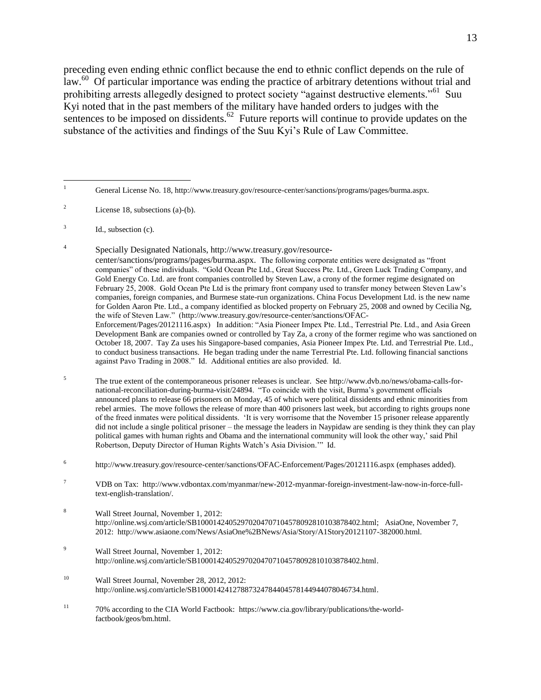preceding even ending ethnic conflict because the end to ethnic conflict depends on the rule of law.<sup>60</sup> Of particular importance was ending the practice of arbitrary detentions without trial and prohibiting arrests allegedly designed to protect society "against destructive elements."<sup>61</sup> Suu Kyi noted that in the past members of the military have handed orders to judges with the sentences to be imposed on dissidents. $62$  Future reports will continue to provide updates on the substance of the activities and findings of the Suu Kyi's Rule of Law Committee.

- <sup>2</sup> License 18, subsections (a)-(b).
- 3 Id., subsection (c).
- 4 Specially Designated Nationals, http://www.treasury.gov/resourcecenter/sanctions/programs/pages/burma.aspx. The following corporate entities were designated as "front companies" of these individuals. "Gold Ocean Pte Ltd., Great Success Pte. Ltd., Green Luck Trading Company, and Gold Energy Co. Ltd. are front companies controlled by Steven Law, a crony of the former regime designated on February 25, 2008. Gold Ocean Pte Ltd is the primary front company used to transfer money between Steven Law's companies, foreign companies, and Burmese state-run organizations. China Focus Development Ltd. is the new name for Golden Aaron Pte. Ltd., a company identified as blocked property on February 25, 2008 and owned by Cecilia Ng, the wife of Steven Law." [\(http://www.treasury.gov/resource-center/sanctions/OFAC-](http://www.treasury.gov/resource-center/sanctions/OFAC-Enforcement/Pages/20121116.aspx)[Enforcement/Pages/20121116.aspx\)](http://www.treasury.gov/resource-center/sanctions/OFAC-Enforcement/Pages/20121116.aspx) In addition: "Asia Pioneer Impex Pte. Ltd., Terrestrial Pte. Ltd., and Asia Green Development Bank are companies owned or controlled by Tay Za, a crony of the former regime who was sanctioned on October 18, 2007. Tay Za uses his Singapore-based companies, Asia Pioneer Impex Pte. Ltd. and Terrestrial Pte. Ltd., to conduct business transactions. He began trading under the name Terrestrial Pte. Ltd. following financial sanctions against Pavo Trading in 2008." Id. Additional entities are also provided. Id.
- 5 The true extent of the contemporaneous prisoner releases is unclear. Se[e http://www.dvb.no/news/obama-calls-for](http://www.dvb.no/news/obama-calls-for-national-reconciliation-during-burma-visit/24894)[national-reconciliation-during-burma-visit/24894.](http://www.dvb.no/news/obama-calls-for-national-reconciliation-during-burma-visit/24894) "To coincide with the visit, Burma's government officials announced plans to release 66 prisoners on Monday, 45 of which were political dissidents and ethnic minorities from rebel armies. The move follows the release of more than 400 prisoners last week, but according to rights groups none of the freed inmates were political dissidents. 'It is very worrisome that the November 15 prisoner release apparently did not include a single political prisoner – the message the leaders in Naypidaw are sending is they think they can play political games with human rights and Obama and the international community will look the other way,' said Phil Robertson, Deputy Director of Human Rights Watch's Asia Division.'" Id.
- 6 <http://www.treasury.gov/resource-center/sanctions/OFAC-Enforcement/Pages/20121116.aspx> (emphases added).
- <sup>7</sup> VDB on Tax: [http://www.vdbontax.com/myanmar/new-2012-myanmar-foreign-investment-law-now-in-force-full](http://www.vdbontax.com/myanmar/new-2012-myanmar-foreign-investment-law-now-in-force-full-text-english-translation/)[text-english-translation/.](http://www.vdbontax.com/myanmar/new-2012-myanmar-foreign-investment-law-now-in-force-full-text-english-translation/)
- <sup>8</sup> Wall Street Journal, November 1, 2012: [http://online.wsj.com/article/SB10001424052970204707104578092810103878402.html;](http://online.wsj.com/article/SB10001424052970204707104578092810103878402.html) AsiaOne, November 7, 2012: [http://www.asiaone.com/News/AsiaOne%2BNews/Asia/Story/A1Story20121107-382000.html.](http://www.asiaone.com/News/AsiaOne%2BNews/Asia/Story/A1Story20121107-382000.html)
- <sup>9</sup> Wall Street Journal, November 1, 2012: [http://online.wsj.com/article/SB10001424052970204707104578092810103878402.html.](http://online.wsj.com/article/SB10001424052970204707104578092810103878402.html)
- <sup>10</sup> Wall Street Journal, November 28, 2012, 2012: [http://online.wsj.com/article/SB10001424127887324784404578144944078046734.html.](http://online.wsj.com/article/SB10001424127887324784404578144944078046734.html)
- <sup>11</sup> 70% according to the CIA World Factbook: [https://www.cia.gov/library/publications/the-world](https://www.cia.gov/library/publications/the-world-factbook/geos/bm.html)[factbook/geos/bm.html.](https://www.cia.gov/library/publications/the-world-factbook/geos/bm.html)

 $\mathbf 1$ General License No. 18, http://www.treasury.gov/resource-center/sanctions/programs/pages/burma.aspx.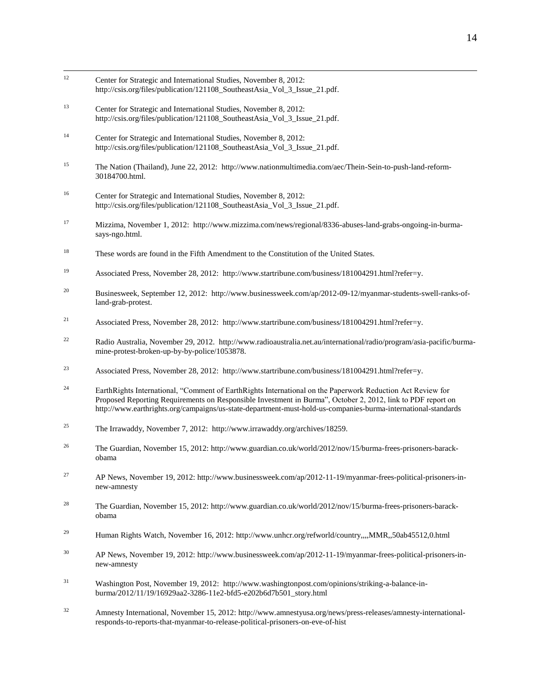- $12$ Center for Strategic and International Studies, November 8, 2012: [http://csis.org/files/publication/121108\\_SoutheastAsia\\_Vol\\_3\\_Issue\\_21.pdf.](http://csis.org/files/publication/121108_SoutheastAsia_Vol_3_Issue_21.pdf)
- <sup>13</sup> Center for Strategic and International Studies, November 8, 2012: [http://csis.org/files/publication/121108\\_SoutheastAsia\\_Vol\\_3\\_Issue\\_21.pdf.](http://csis.org/files/publication/121108_SoutheastAsia_Vol_3_Issue_21.pdf)
- <sup>14</sup> Center for Strategic and International Studies, November 8, 2012: http://csis.org/files/publication/121108\_SoutheastAsia\_Vol\_3\_Issue\_21.pdf.
- <sup>15</sup> The Nation (Thailand), June 22, 2012: [http://www.nationmultimedia.com/aec/Thein-Sein-to-push-land-reform-](http://www.nationmultimedia.com/aec/Thein-Sein-to-push-land-reform-30184700.html)[30184700.html.](http://www.nationmultimedia.com/aec/Thein-Sein-to-push-land-reform-30184700.html)
- <sup>16</sup> Center for Strategic and International Studies, November 8, 2012: [http://csis.org/files/publication/121108\\_SoutheastAsia\\_Vol\\_3\\_Issue\\_21.pdf.](http://csis.org/files/publication/121108_SoutheastAsia_Vol_3_Issue_21.pdf)
- <sup>17</sup> Mizzima, November 1, 2012: [http://www.mizzima.com/news/regional/8336-abuses-land-grabs-ongoing-in-burma](http://www.mizzima.com/news/regional/8336-abuses-land-grabs-ongoing-in-burma-says-ngo.html)[says-ngo.html.](http://www.mizzima.com/news/regional/8336-abuses-land-grabs-ongoing-in-burma-says-ngo.html)
- <sup>18</sup> These words are found in the Fifth Amendment to the Constitution of the United States.
- 19 Associated Press, November 28, 2012: [http://www.startribune.com/business/181004291.html?refer=y.](http://www.startribune.com/business/181004291.html?refer=y)
- <sup>20</sup> Businesweek, September 12, 2012: [http://www.businessweek.com/ap/2012-09-12/myanmar-students-swell-ranks-of](http://www.businessweek.com/ap/2012-09-12/myanmar-students-swell-ranks-of-land-grab-protest)[land-grab-protest.](http://www.businessweek.com/ap/2012-09-12/myanmar-students-swell-ranks-of-land-grab-protest)
- <sup>21</sup> Associated Press, November 28, 2012: [http://www.startribune.com/business/181004291.html?refer=y.](http://www.startribune.com/business/181004291.html?refer=y)
- <sup>22</sup> Radio Australia, November 29, 2012. [http://www.radioaustralia.net.au/international/radio/program/asia-pacific/burma](http://www.radioaustralia.net.au/international/radio/program/asia-pacific/burma-mine-protest-broken-up-by-by-police/1053878)[mine-protest-broken-up-by-by-police/1053878.](http://www.radioaustralia.net.au/international/radio/program/asia-pacific/burma-mine-protest-broken-up-by-by-police/1053878)
- <sup>23</sup> Associated Press, November 28, 2012: [http://www.startribune.com/business/181004291.html?refer=y.](http://www.startribune.com/business/181004291.html?refer=y)
- <sup>24</sup> EarthRights International, "Comment of EarthRights International on the Paperwork Reduction Act Review for Proposed Reporting Requirements on Responsible Investment in Burma", October 2, 2012, link to PDF report on <http://www.earthrights.org/campaigns/us-state-department-must-hold-us-companies-burma-international-standards>
- <sup>25</sup> The Irrawaddy, November 7, 2012: http://www.irrawaddy.org/archives/18259.
- <sup>26</sup> The Guardian, November 15, 2012[: http://www.guardian.co.uk/world/2012/nov/15/burma-frees-prisoners-barack](http://www.guardian.co.uk/world/2012/nov/15/burma-frees-prisoners-barack-obama)[obama](http://www.guardian.co.uk/world/2012/nov/15/burma-frees-prisoners-barack-obama)
- <sup>27</sup> AP News, November 19, 2012[: http://www.businessweek.com/ap/2012-11-19/myanmar-frees-political-prisoners-in](http://www.businessweek.com/ap/2012-11-19/myanmar-frees-political-prisoners-in-new-amnesty)[new-amnesty](http://www.businessweek.com/ap/2012-11-19/myanmar-frees-political-prisoners-in-new-amnesty)
- <sup>28</sup> The Guardian, November 15, 2012[: http://www.guardian.co.uk/world/2012/nov/15/burma-frees-prisoners-barack](http://www.guardian.co.uk/world/2012/nov/15/burma-frees-prisoners-barack-obama)[obama](http://www.guardian.co.uk/world/2012/nov/15/burma-frees-prisoners-barack-obama)
- <sup>29</sup> Human Rights Watch, November 16, 2012:<http://www.unhcr.org/refworld/country,,,,MMR,,50ab45512,0.html>
- <sup>30</sup> AP News, November 19, 2012[: http://www.businessweek.com/ap/2012-11-19/myanmar-frees-political-prisoners-in](http://www.businessweek.com/ap/2012-11-19/myanmar-frees-political-prisoners-in-new-amnesty)[new-amnesty](http://www.businessweek.com/ap/2012-11-19/myanmar-frees-political-prisoners-in-new-amnesty)
- <sup>31</sup> Washington Post, November 19, 2012: [http://www.washingtonpost.com/opinions/striking-a-balance-in](http://www.washingtonpost.com/opinions/striking-a-balance-in-burma/2012/11/19/16929aa2-3286-11e2-bfd5-e202b6d7b501_story.html)[burma/2012/11/19/16929aa2-3286-11e2-bfd5-e202b6d7b501\\_story.html](http://www.washingtonpost.com/opinions/striking-a-balance-in-burma/2012/11/19/16929aa2-3286-11e2-bfd5-e202b6d7b501_story.html)
- <sup>32</sup> Amnesty International, November 15, 2012[: http://www.amnestyusa.org/news/press-releases/amnesty-international](http://www.amnestyusa.org/news/press-releases/amnesty-international-responds-to-reports-that-myanmar-to-release-political-prisoners-on-eve-of-hist)[responds-to-reports-that-myanmar-to-release-political-prisoners-on-eve-of-hist](http://www.amnestyusa.org/news/press-releases/amnesty-international-responds-to-reports-that-myanmar-to-release-political-prisoners-on-eve-of-hist)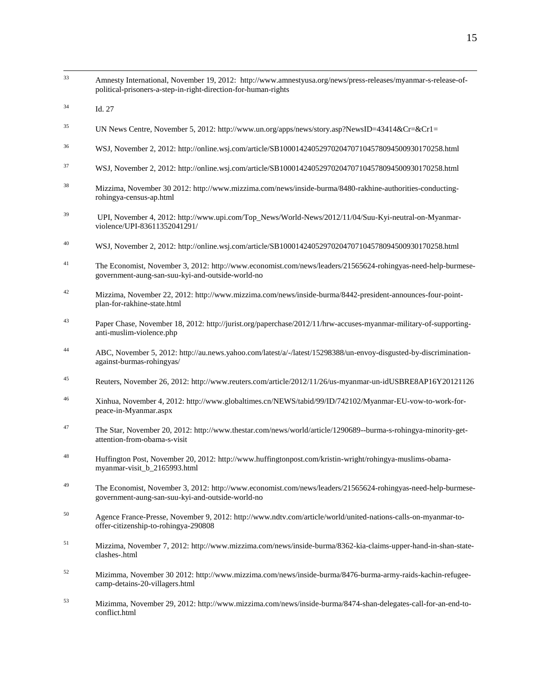$33$ <sup>33</sup> Amnesty International, November 19, 2012: [http://www.amnestyusa.org/news/press-releases/myanmar-s-release-of](http://www.amnestyusa.org/news/press-releases/myanmar-s-release-of-political-prisoners-a-step-in-right-direction-for-human-rights)[political-prisoners-a-step-in-right-direction-for-human-rights](http://www.amnestyusa.org/news/press-releases/myanmar-s-release-of-political-prisoners-a-step-in-right-direction-for-human-rights) <sup>34</sup> Id. 27 <sup>35</sup> UN News Centre, November 5, 2012[: http://www.un.org/apps/news/story.asp?NewsID=43414&Cr=&Cr1=](http://www.un.org/apps/news/story.asp?NewsID=43414&Cr=&Cr1) <sup>36</sup> WSJ, November 2, 2012[: http://online.wsj.com/article/SB10001424052970204707104578094500930170258.html](http://online.wsj.com/article/SB10001424052970204707104578094500930170258.html) <sup>37</sup> WSJ, November 2, 2012[: http://online.wsj.com/article/SB10001424052970204707104578094500930170258.html](http://online.wsj.com/article/SB10001424052970204707104578094500930170258.html) <sup>38</sup> Mizzima, November 30 2012[: http://www.mizzima.com/news/inside-burma/8480-rakhine-authorities-conducting](http://www.mizzima.com/news/inside-burma/8480-rakhine-authorities-conducting-rohingya-census-ap.html)[rohingya-census-ap.html](http://www.mizzima.com/news/inside-burma/8480-rakhine-authorities-conducting-rohingya-census-ap.html) <sup>39</sup> UPI, November 4, 2012: [http://www.upi.com/Top\\_News/World-News/2012/11/04/Suu-Kyi-neutral-on-Myanmar](http://www.upi.com/Top_News/World-News/2012/11/04/Suu-Kyi-neutral-on-Myanmar-violence/UPI-83611352041291/)[violence/UPI-83611352041291/](http://www.upi.com/Top_News/World-News/2012/11/04/Suu-Kyi-neutral-on-Myanmar-violence/UPI-83611352041291/) <sup>40</sup> WSJ, November 2, 2012[: http://online.wsj.com/article/SB10001424052970204707104578094500930170258.html](http://online.wsj.com/article/SB10001424052970204707104578094500930170258.html) <sup>41</sup> The Economist, November 3, 2012: [http://www.economist.com/news/leaders/21565624-rohingyas-need-help-burmese](http://www.economist.com/news/leaders/21565624-rohingyas-need-help-burmese-government-aung-san-suu-kyi-and-outside-world-no)[government-aung-san-suu-kyi-and-outside-world-no](http://www.economist.com/news/leaders/21565624-rohingyas-need-help-burmese-government-aung-san-suu-kyi-and-outside-world-no) <sup>42</sup> Mizzima, November 22, 2012: [http://www.mizzima.com/news/inside-burma/8442-president-announces-four-point](http://www.mizzima.com/news/inside-burma/8442-president-announces-four-point-plan-for-rakhine-state.html)[plan-for-rakhine-state.html](http://www.mizzima.com/news/inside-burma/8442-president-announces-four-point-plan-for-rakhine-state.html) <sup>43</sup> Paper Chase, November 18, 2012[: http://jurist.org/paperchase/2012/11/hrw-accuses-myanmar-military-of-supporting](http://jurist.org/paperchase/2012/11/hrw-accuses-myanmar-military-of-supporting-anti-muslim-violence.php)[anti-muslim-violence.php](http://jurist.org/paperchase/2012/11/hrw-accuses-myanmar-military-of-supporting-anti-muslim-violence.php) <sup>44</sup> ABC, November 5, 2012: [http://au.news.yahoo.com/latest/a/-/latest/15298388/un-envoy-disgusted-by-discrimination](http://au.news.yahoo.com/latest/a/-/latest/15298388/un-envoy-disgusted-by-discrimination-against-burmas-rohingyas/)[against-burmas-rohingyas/](http://au.news.yahoo.com/latest/a/-/latest/15298388/un-envoy-disgusted-by-discrimination-against-burmas-rohingyas/) <sup>45</sup> Reuters, November 26, 2012[: http://www.reuters.com/article/2012/11/26/us-myanmar-un-idUSBRE8AP16Y20121126](http://www.reuters.com/article/2012/11/26/us-myanmar-un-idUSBRE8AP16Y20121126) <sup>46</sup> Xinhua, November 4, 2012: [http://www.globaltimes.cn/NEWS/tabid/99/ID/742102/Myanmar-EU-vow-to-work-for](http://www.globaltimes.cn/NEWS/tabid/99/ID/742102/Myanmar-EU-vow-to-work-for-peace-in-Myanmar.aspx)[peace-in-Myanmar.aspx](http://www.globaltimes.cn/NEWS/tabid/99/ID/742102/Myanmar-EU-vow-to-work-for-peace-in-Myanmar.aspx) <sup>47</sup> The Star, November 20, 2012[: http://www.thestar.com/news/world/article/1290689--burma-s-rohingya-minority-get](http://www.thestar.com/news/world/article/1290689--burma-s-rohingya-minority-get-attention-from-obama-s-visit)[attention-from-obama-s-visit](http://www.thestar.com/news/world/article/1290689--burma-s-rohingya-minority-get-attention-from-obama-s-visit) <sup>48</sup> Huffington Post, November 20, 2012[: http://www.huffingtonpost.com/kristin-wright/rohingya-muslims-obama](http://www.huffingtonpost.com/kristin-wright/rohingya-muslims-obama-myanmar-visit_b_2165993.html)[myanmar-visit\\_b\\_2165993.html](http://www.huffingtonpost.com/kristin-wright/rohingya-muslims-obama-myanmar-visit_b_2165993.html) <sup>49</sup> The Economist, November 3, 2012: [http://www.economist.com/news/leaders/21565624-rohingyas-need-help-burmese](http://www.economist.com/news/leaders/21565624-rohingyas-need-help-burmese-government-aung-san-suu-kyi-and-outside-world-no)[government-aung-san-suu-kyi-and-outside-world-no](http://www.economist.com/news/leaders/21565624-rohingyas-need-help-burmese-government-aung-san-suu-kyi-and-outside-world-no) <sup>50</sup> Agence France-Presse, November 9, 2012[: http://www.ndtv.com/article/world/united-nations-calls-on-myanmar-to](http://www.ndtv.com/article/world/united-nations-calls-on-myanmar-to-offer-citizenship-to-rohingya-290808)[offer-citizenship-to-rohingya-290808](http://www.ndtv.com/article/world/united-nations-calls-on-myanmar-to-offer-citizenship-to-rohingya-290808) <sup>51</sup> Mizzima, November 7, 2012[: http://www.mizzima.com/news/inside-burma/8362-kia-claims-upper-hand-in-shan-state](http://www.mizzima.com/news/inside-burma/8362-kia-claims-upper-hand-in-shan-state-clashes-.html)[clashes-.html](http://www.mizzima.com/news/inside-burma/8362-kia-claims-upper-hand-in-shan-state-clashes-.html) <sup>52</sup> Mizimma, November 30 2012[: http://www.mizzima.com/news/inside-burma/8476-burma-army-raids-kachin-refugee](http://www.mizzima.com/news/inside-burma/8476-burma-army-raids-kachin-refugee-camp-detains-20-villagers.html)[camp-detains-20-villagers.html](http://www.mizzima.com/news/inside-burma/8476-burma-army-raids-kachin-refugee-camp-detains-20-villagers.html) <sup>53</sup> Mizimma, November 29, 2012: [http://www.mizzima.com/news/inside-burma/8474-shan-delegates-call-for-an-end-to](http://www.mizzima.com/news/inside-burma/8474-shan-delegates-call-for-an-end-to-conflict.html)[conflict.html](http://www.mizzima.com/news/inside-burma/8474-shan-delegates-call-for-an-end-to-conflict.html)